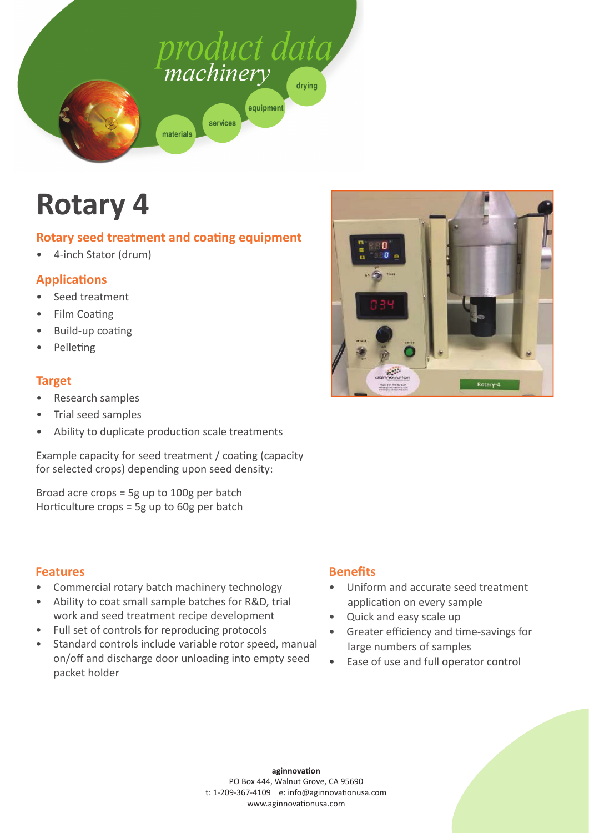

# **Rotary 4**

## **Rotary seed treatment and coating equipment**

• 4-inch Stator (drum)

# **ApplicaƟ ons**

- Seed treatment
- **Film Coating**
- Build-up coating
- Pelleting

#### **Target**

- Research samples
- Trial seed samples
- Ability to duplicate production scale treatments

Example capacity for seed treatment / coating (capacity for selected crops) depending upon seed density:

Broad acre crops = 5g up to 100g per batch Horticulture crops = 5g up to 60g per batch

#### **Features**

- Commercial rotary batch machinery technology
- Ability to coat small sample batches for R&D, trial
- work and seed treatment recipe development • Full set of controls for reproducing protocols
- Standard controls include variable rotor speed, manual on/off and discharge door unloading into empty seed packet holder

# **Benefits**

• Uniform and accurate seed treatment application on every sample

Rotary-4

• Quick and easy scale up

 $70.1$ 

- Greater efficiency and time-savings for large numbers of samples
- Ease of use and full operator control

**aginnovaƟ on** PO Box 444, Walnut Grove, CA 95690 t: 1-209-367-4109 e: info@aginnovationusa.com www.aginnovationusa.com